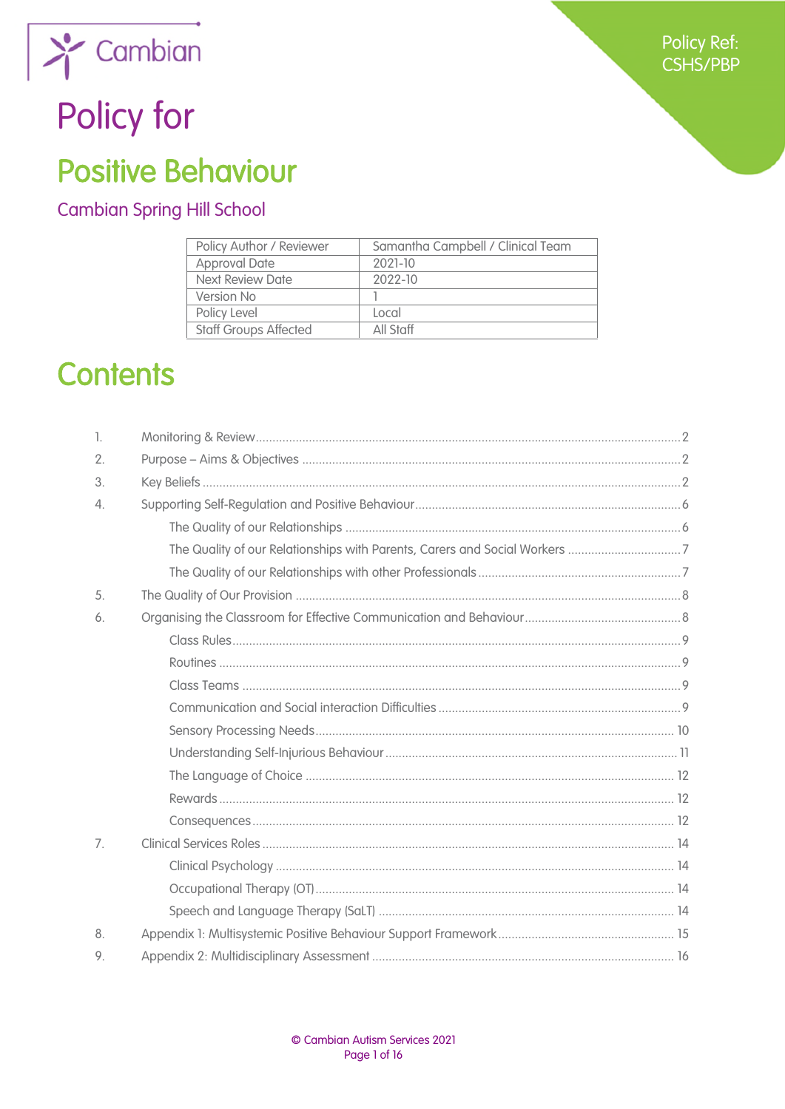

# Policy for

## **Positive Behaviour**

#### **Cambian Spring Hill School**

| Policy Author / Reviewer     | Samantha Campbell / Clinical Team |  |
|------------------------------|-----------------------------------|--|
| <b>Approval Date</b>         | 2021-10                           |  |
| <b>Next Review Date</b>      | 2022-10                           |  |
| Version No                   |                                   |  |
| Policy Level                 | l ocal                            |  |
| <b>Staff Groups Affected</b> | All Staff                         |  |

## **Contents**

| 1.               |  |
|------------------|--|
| 2.               |  |
| 3.               |  |
| $\overline{4}$ . |  |
|                  |  |
|                  |  |
|                  |  |
| 5.               |  |
| 6.               |  |
|                  |  |
|                  |  |
|                  |  |
|                  |  |
|                  |  |
|                  |  |
|                  |  |
|                  |  |
|                  |  |
| 7.               |  |
|                  |  |
|                  |  |
|                  |  |
| 8.               |  |
| 9.               |  |
|                  |  |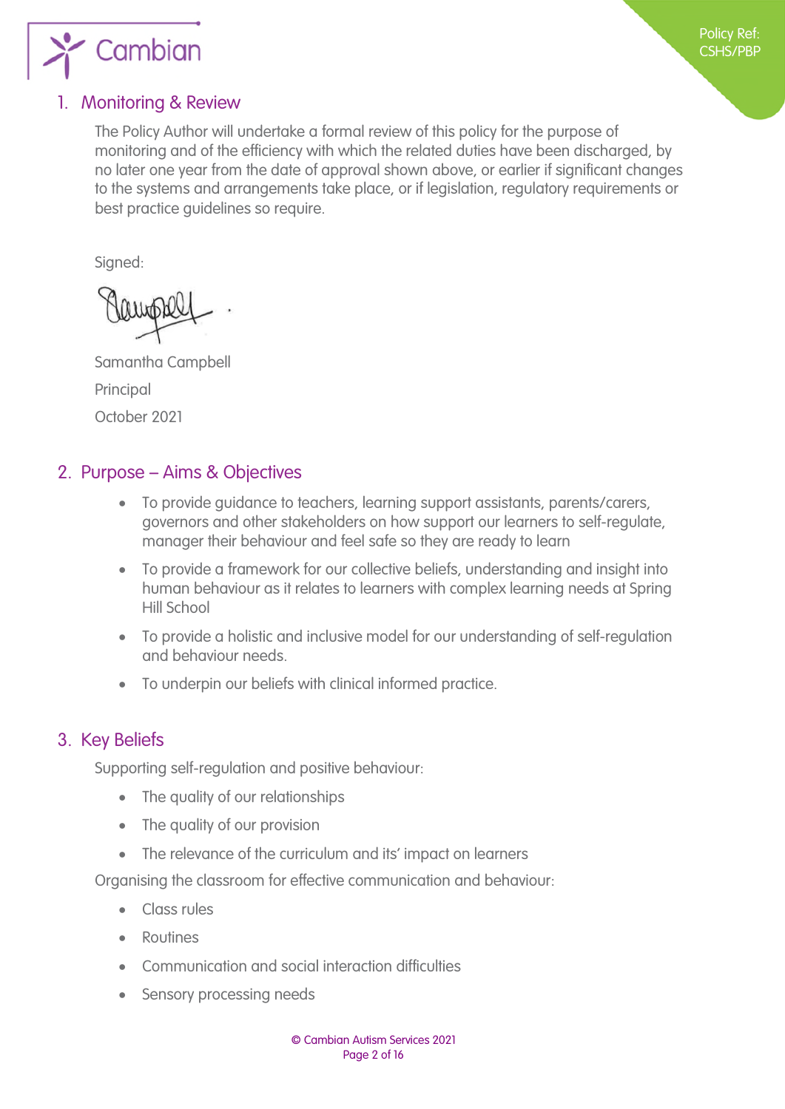

#### <span id="page-1-1"></span>1. Monitoring & Review

<span id="page-1-0"></span>The Policy Author will undertake a formal review of this policy for the purpose of monitoring and of the efficiency with which the related duties have been discharged, by no later one year from the date of approval shown above, or earlier if significant changes to the systems and arrangements take place, or if legislation, regulatory requirements or best practice guidelines so require.

Signed:

Samantha Campbell Principal October 2021

#### <span id="page-1-2"></span>2. Purpose – Aims & Objectives

- To provide guidance to teachers, learning support assistants, parents/carers, governors and other stakeholders on how support our learners to self-regulate, manager their behaviour and feel safe so they are ready to learn
- To provide a framework for our collective beliefs, understanding and insight into human behaviour as it relates to learners with complex learning needs at Spring Hill School
- To provide a holistic and inclusive model for our understanding of self-regulation and behaviour needs.
- To underpin our beliefs with clinical informed practice.

#### <span id="page-1-3"></span>3. Key Beliefs

Supporting self-regulation and positive behaviour:

- The quality of our relationships
- The quality of our provision
- The relevance of the curriculum and its' impact on learners

Organising the classroom for effective communication and behaviour:

- **Class rules**
- Routines
- Communication and social interaction difficulties
- Sensory processing needs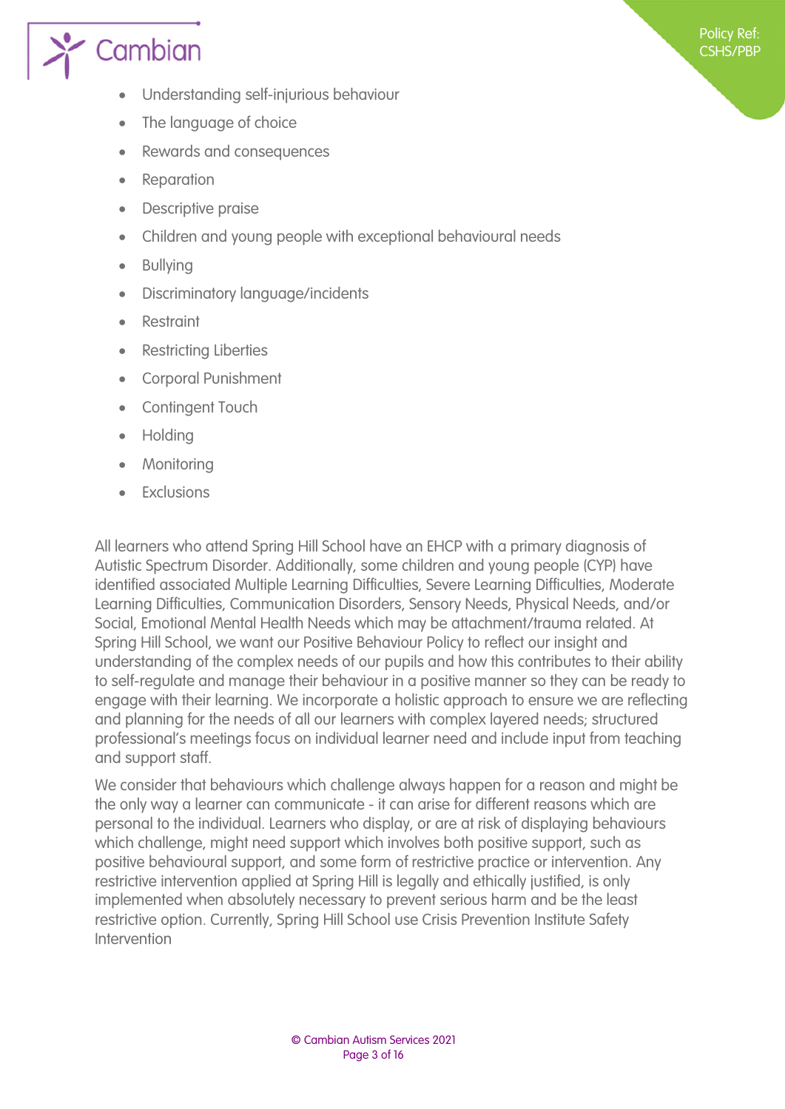

- Understanding self-injurious behaviour
- The language of choice
- Rewards and consequences
- Reparation
- Descriptive praise
- Children and young people with exceptional behavioural needs
- Bullying
- Discriminatory language/incidents
- Restraint
- Restricting Liberties
- Corporal Punishment
- Contingent Touch
- Holding
- Monitoring
- Exclusions

All learners who attend Spring Hill School have an EHCP with a primary diagnosis of Autistic Spectrum Disorder. Additionally, some children and young people (CYP) have identified associated Multiple Learning Difficulties, Severe Learning Difficulties, Moderate Learning Difficulties, Communication Disorders, Sensory Needs, Physical Needs, and/or Social, Emotional Mental Health Needs which may be attachment/trauma related. At Spring Hill School, we want our Positive Behaviour Policy to reflect our insight and understanding of the complex needs of our pupils and how this contributes to their ability to self-regulate and manage their behaviour in a positive manner so they can be ready to engage with their learning. We incorporate a holistic approach to ensure we are reflecting and planning for the needs of all our learners with complex layered needs; structured professional's meetings focus on individual learner need and include input from teaching and support staff.

We consider that behaviours which challenge always happen for a reason and might be the only way a learner can communicate - it can arise for different reasons which are personal to the individual. Learners who display, or are at risk of displaying behaviours which challenge, might need support which involves both positive support, such as positive behavioural support, and some form of restrictive practice or intervention. Any restrictive intervention applied at Spring Hill is legally and ethically justified, is only implemented when absolutely necessary to prevent serious harm and be the least restrictive option. Currently, Spring Hill School use Crisis Prevention Institute Safety Intervention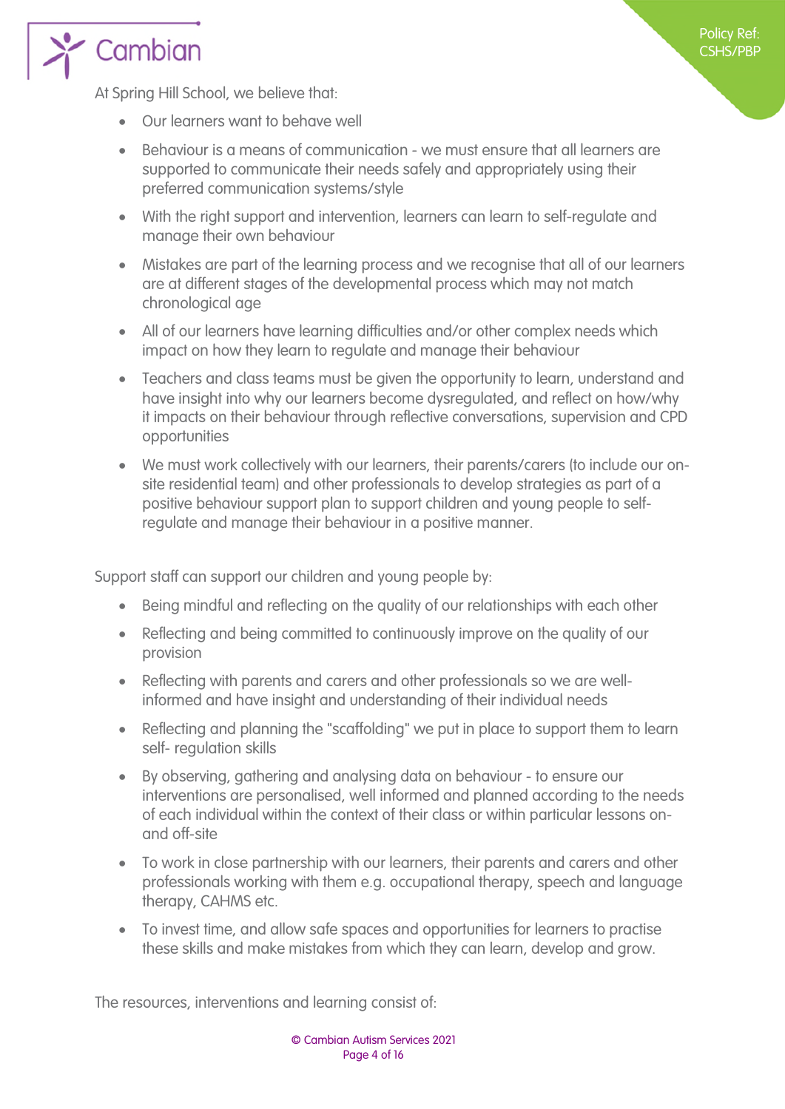

At Spring Hill School, we believe that:

- Our learners want to behave well
- Behaviour is a means of communication we must ensure that all learners are supported to communicate their needs safely and appropriately using their preferred communication systems/style
- With the right support and intervention, learners can learn to self-regulate and manage their own behaviour
- Mistakes are part of the learning process and we recognise that all of our learners are at different stages of the developmental process which may not match chronological age
- All of our learners have learning difficulties and/or other complex needs which impact on how they learn to regulate and manage their behaviour
- Teachers and class teams must be given the opportunity to learn, understand and have insight into why our learners become dysregulated, and reflect on how/why it impacts on their behaviour through reflective conversations, supervision and CPD opportunities
- We must work collectively with our learners, their parents/carers (to include our onsite residential team) and other professionals to develop strategies as part of a positive behaviour support plan to support children and young people to selfregulate and manage their behaviour in a positive manner.

Support staff can support our children and young people by:

- Being mindful and reflecting on the quality of our relationships with each other
- Reflecting and being committed to continuously improve on the quality of our provision
- Reflecting with parents and carers and other professionals so we are wellinformed and have insight and understanding of their individual needs
- Reflecting and planning the "scaffolding" we put in place to support them to learn self- regulation skills
- By observing, gathering and analysing data on behaviour to ensure our interventions are personalised, well informed and planned according to the needs of each individual within the context of their class or within particular lessons onand off-site
- To work in close partnership with our learners, their parents and carers and other professionals working with them e.g. occupational therapy, speech and language therapy, CAHMS etc.
- To invest time, and allow safe spaces and opportunities for learners to practise these skills and make mistakes from which they can learn, develop and grow.

The resources, interventions and learning consist of: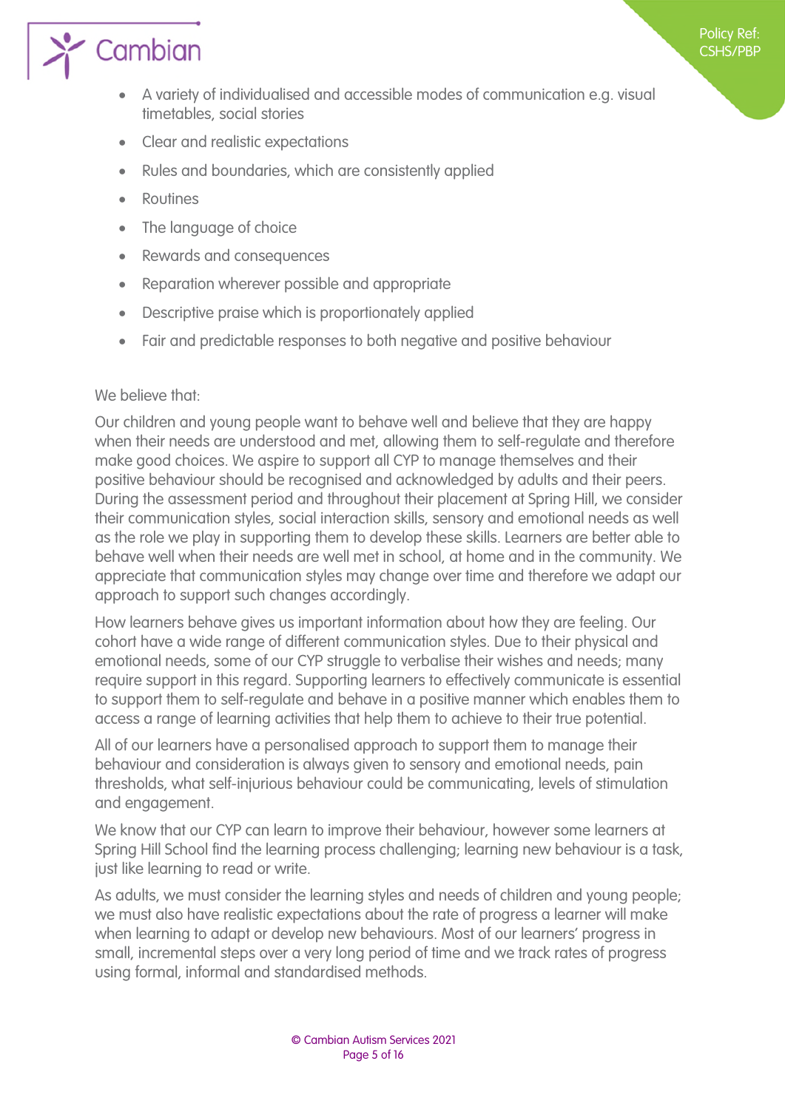

- A variety of individualised and accessible modes of communication e.g. visual timetables, social stories
- Clear and realistic expectations
- Rules and boundaries, which are consistently applied
- Routines
- The language of choice
- Rewards and consequences
- Reparation wherever possible and appropriate
- Descriptive praise which is proportionately applied
- Fair and predictable responses to both negative and positive behaviour

#### We believe that:

Our children and young people want to behave well and believe that they are happy when their needs are understood and met, allowing them to self-regulate and therefore make good choices. We aspire to support all CYP to manage themselves and their positive behaviour should be recognised and acknowledged by adults and their peers. During the assessment period and throughout their placement at Spring Hill, we consider their communication styles, social interaction skills, sensory and emotional needs as well as the role we play in supporting them to develop these skills. Learners are better able to behave well when their needs are well met in school, at home and in the community. We appreciate that communication styles may change over time and therefore we adapt our approach to support such changes accordingly.

How learners behave gives us important information about how they are feeling. Our cohort have a wide range of different communication styles. Due to their physical and emotional needs, some of our CYP struggle to verbalise their wishes and needs; many require support in this regard. Supporting learners to effectively communicate is essential to support them to self-regulate and behave in a positive manner which enables them to access a range of learning activities that help them to achieve to their true potential.

All of our learners have a personalised approach to support them to manage their behaviour and consideration is always given to sensory and emotional needs, pain thresholds, what self-injurious behaviour could be communicating, levels of stimulation and engagement.

We know that our CYP can learn to improve their behaviour, however some learners at Spring Hill School find the learning process challenging; learning new behaviour is a task, just like learning to read or write.

As adults, we must consider the learning styles and needs of children and young people; we must also have realistic expectations about the rate of progress a learner will make when learning to adapt or develop new behaviours. Most of our learners' progress in small, incremental steps over a very long period of time and we track rates of progress using formal, informal and standardised methods.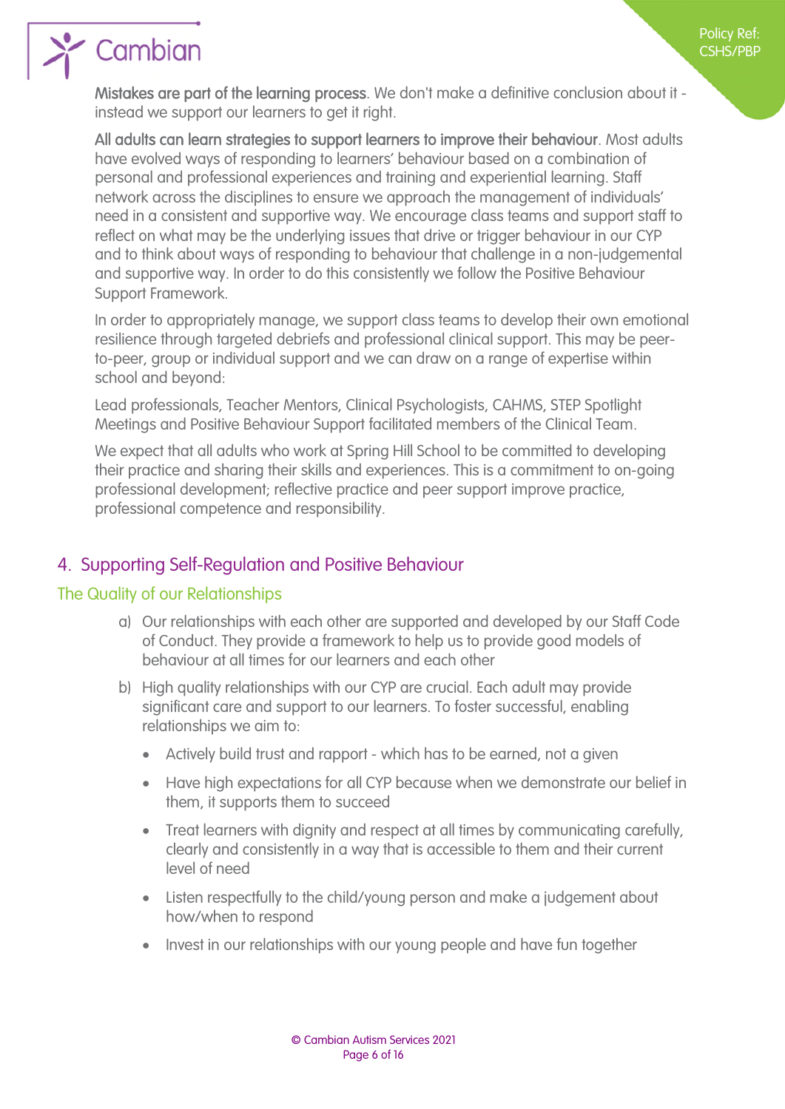

Mistakes are part of the learning process. We don't make a definitive conclusion about it instead we support our learners to get it right.

All adults can learn strategies to support learners to improve their behaviour. Most adults have evolved ways of responding to learners' behaviour based on a combination of personal and professional experiences and training and experiential learning. Staff network across the disciplines to ensure we approach the management of individuals' need in a consistent and supportive way. We encourage class teams and support staff to reflect on what may be the underlying issues that drive or trigger behaviour in our CYP and to think about ways of responding to behaviour that challenge in a non-judgemental and supportive way. In order to do this consistently we follow the Positive Behaviour Support Framework.

In order to appropriately manage, we support class teams to develop their own emotional resilience through targeted debriefs and professional clinical support. This may be peerto-peer, group or individual support and we can draw on a range of expertise within school and beyond:

Lead professionals, Teacher Mentors, Clinical Psychologists, CAHMS, STEP Spotlight Meetings and Positive Behaviour Support facilitated members of the Clinical Team.

We expect that all adults who work at Spring Hill School to be committed to developing their practice and sharing their skills and experiences. This is a commitment to on-going professional development; reflective practice and peer support improve practice, professional competence and responsibility.

#### <span id="page-5-1"></span><span id="page-5-0"></span>4. Supporting Self-Regulation and Positive Behaviour

#### <span id="page-5-2"></span>The Quality of our Relationships

- a) Our relationships with each other are supported and developed by our Staff Code of Conduct. They provide a framework to help us to provide good models of behaviour at all times for our learners and each other
- b) High quality relationships with our CYP are crucial. Each adult may provide significant care and support to our learners. To foster successful, enabling relationships we aim to:
	- Actively build trust and rapport which has to be earned, not a given
	- Have high expectations for all CYP because when we demonstrate our belief in them, it supports them to succeed
	- Treat learners with dignity and respect at all times by communicating carefully, clearly and consistently in a way that is accessible to them and their current level of need
	- Listen respectfully to the child/young person and make a judgement about how/when to respond
	- Invest in our relationships with our young people and have fun together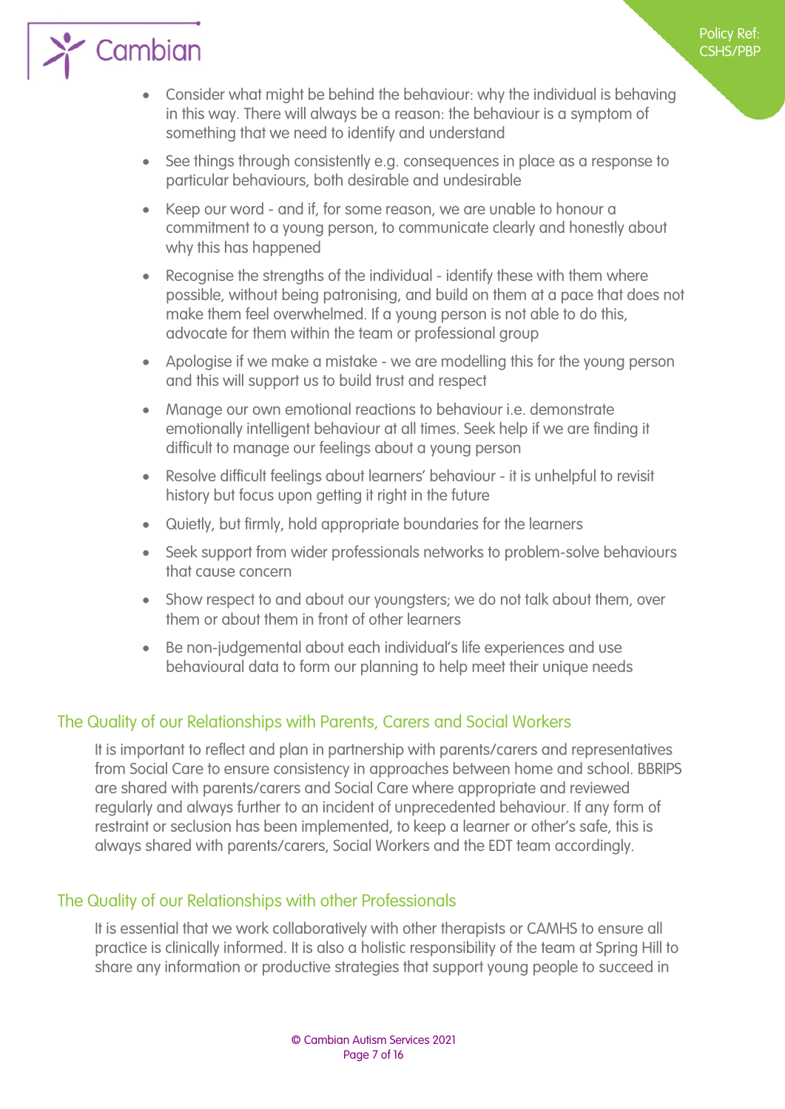# $\sum$  Cambian

- Consider what might be behind the behaviour: why the individual is behaving in this way. There will always be a reason: the behaviour is a symptom of something that we need to identify and understand
- See things through consistently e.g. consequences in place as a response to particular behaviours, both desirable and undesirable
- Keep our word and if, for some reason, we are unable to honour a commitment to a young person, to communicate clearly and honestly about why this has happened
- Recognise the strengths of the individual identify these with them where possible, without being patronising, and build on them at a pace that does not make them feel overwhelmed. If a young person is not able to do this, advocate for them within the team or professional group
- Apologise if we make a mistake we are modelling this for the young person and this will support us to build trust and respect
- Manage our own emotional reactions to behaviour i.e. demonstrate emotionally intelligent behaviour at all times. Seek help if we are finding it difficult to manage our feelings about a young person
- Resolve difficult feelings about learners' behaviour it is unhelpful to revisit history but focus upon getting it right in the future
- Quietly, but firmly, hold appropriate boundaries for the learners
- Seek support from wider professionals networks to problem-solve behaviours that cause concern
- Show respect to and about our youngsters; we do not talk about them, over them or about them in front of other learners
- Be non-judgemental about each individual's life experiences and use behavioural data to form our planning to help meet their unique needs

#### The Quality of our Relationships with Parents, Carers and Social Workers

<span id="page-6-0"></span>It is important to reflect and plan in partnership with parents/carers and representatives from Social Care to ensure consistency in approaches between home and school. BBRIPS are shared with parents/carers and Social Care where appropriate and reviewed regularly and always further to an incident of unprecedented behaviour. If any form of restraint or seclusion has been implemented, to keep a learner or other's safe, this is always shared with parents/carers, Social Workers and the EDT team accordingly.

#### The Quality of our Relationships with other Professionals

<span id="page-6-1"></span>It is essential that we work collaboratively with other therapists or CAMHS to ensure all practice is clinically informed. It is also a holistic responsibility of the team at Spring Hill to share any information or productive strategies that support young people to succeed in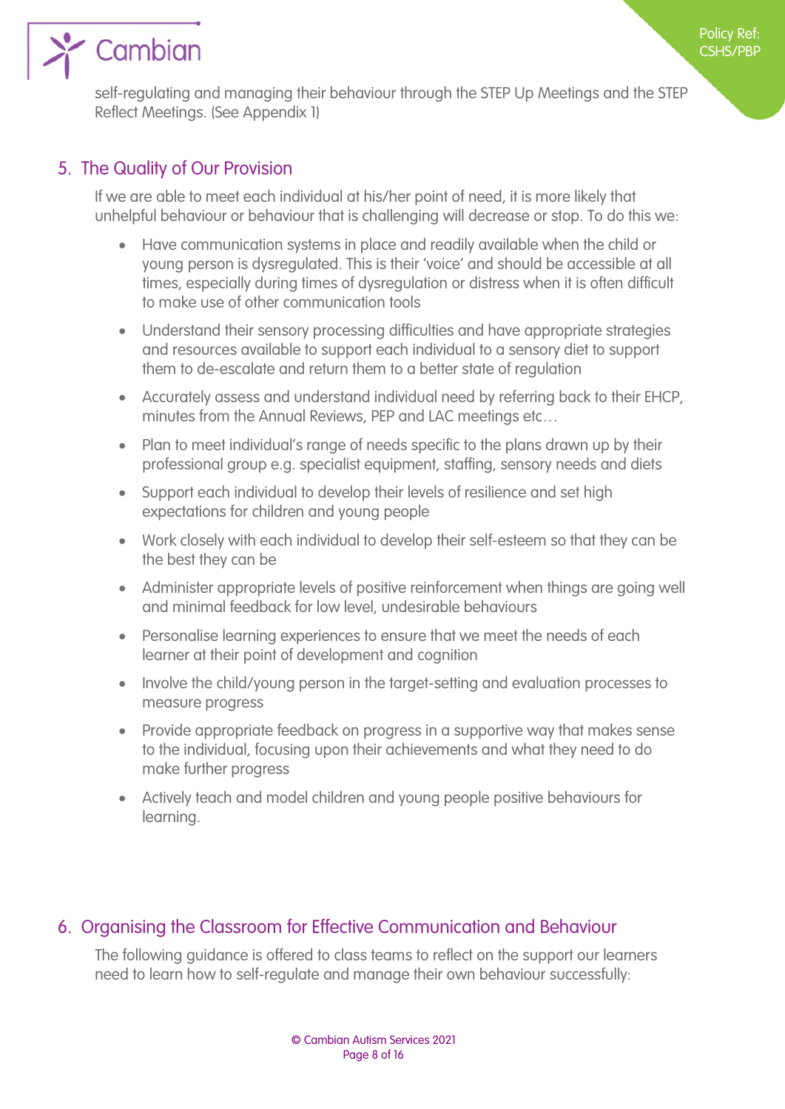

Cambian

self-regulating and managing their behaviour through the STEP Up Meetings and the STEP Reflect Meetings. (See Appendix 1)

#### 5. The Quality of Our Provision

<span id="page-7-0"></span>If we are able to meet each individual at his/her point of need, it is more likely that unhelpful behaviour or behaviour that is challenging will decrease or stop. To do this we:

- Have communication systems in place and readily available when the child or young person is dysregulated. This is their 'voice' and should be accessible at all times, especially during times of dysregulation or distress when it is often difficult to make use of other communication tools
- Understand their sensory processing difficulties and have appropriate strategies and resources available to support each individual to a sensory diet to support them to de-escalate and return them to a better state of regulation
- Accurately assess and understand individual need by referring back to their EHCP, minutes from the Annual Reviews, PEP and LAC meetings etc…
- Plan to meet individual's range of needs specific to the plans drawn up by their professional group e.g. specialist equipment, staffing, sensory needs and diets
- Support each individual to develop their levels of resilience and set high expectations for children and young people
- Work closely with each individual to develop their self-esteem so that they can be the best they can be
- Administer appropriate levels of positive reinforcement when things are going well and minimal feedback for low level, undesirable behaviours
- Personalise learning experiences to ensure that we meet the needs of each learner at their point of development and cognition
- Involve the child/young person in the target-setting and evaluation processes to measure progress
- Provide appropriate feedback on progress in a supportive way that makes sense to the individual, focusing upon their achievements and what they need to do make further progress
- Actively teach and model children and young people positive behaviours for learning.

#### 6. Organising the Classroom for Effective Communication and Behaviour

<span id="page-7-1"></span>The following guidance is offered to class teams to reflect on the support our learners need to learn how to self-regulate and manage their own behaviour successfully: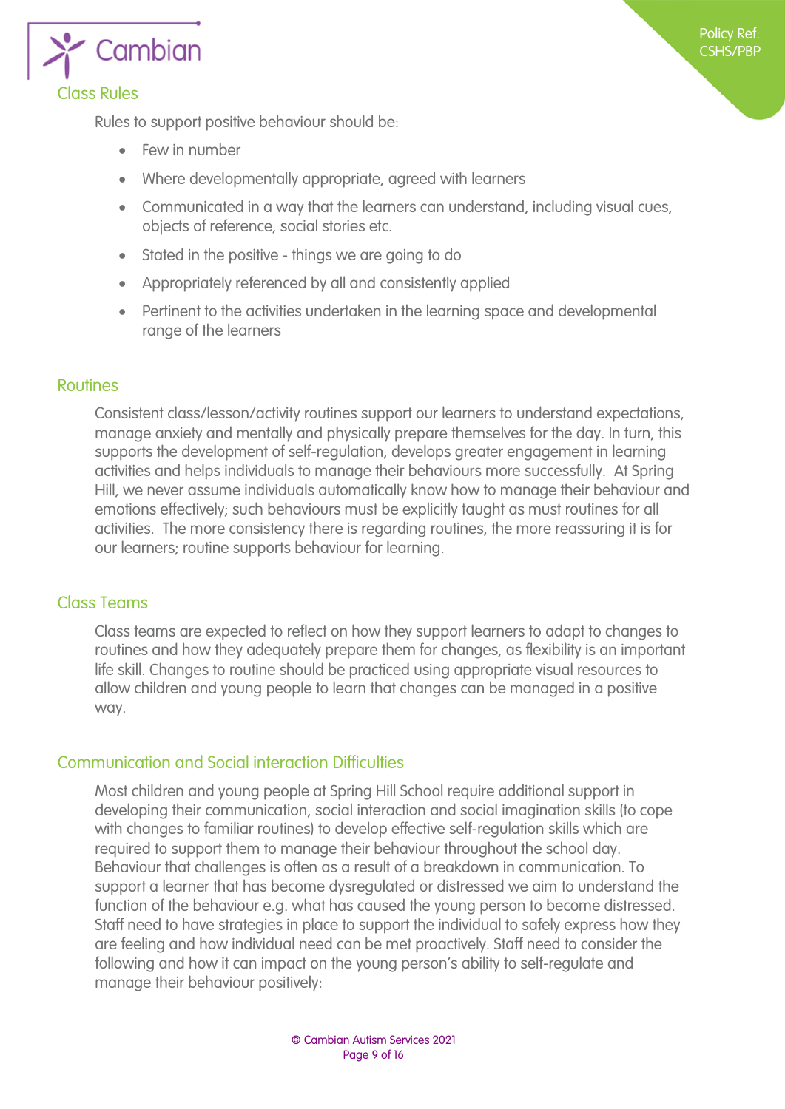

<span id="page-8-0"></span>Rules to support positive behaviour should be:

- Few in number
- Where developmentally appropriate, agreed with learners
- Communicated in a way that the learners can understand, including visual cues, objects of reference, social stories etc.

Policy Ref: CSHS/PBP

- Stated in the positive things we are going to do
- Appropriately referenced by all and consistently applied
- Pertinent to the activities undertaken in the learning space and developmental range of the learners

#### **Routines**

<span id="page-8-1"></span>Consistent class/lesson/activity routines support our learners to understand expectations, manage anxiety and mentally and physically prepare themselves for the day. In turn, this supports the development of self-regulation, develops greater engagement in learning activities and helps individuals to manage their behaviours more successfully. At Spring Hill, we never assume individuals automatically know how to manage their behaviour and emotions effectively; such behaviours must be explicitly taught as must routines for all activities. The more consistency there is regarding routines, the more reassuring it is for our learners; routine supports behaviour for learning.

#### <span id="page-8-2"></span>Class Teams

Class teams are expected to reflect on how they support learners to adapt to changes to routines and how they adequately prepare them for changes, as flexibility is an important life skill. Changes to routine should be practiced using appropriate visual resources to allow children and young people to learn that changes can be managed in a positive way.

#### Communication and Social interaction Difficulties

<span id="page-8-3"></span>Most children and young people at Spring Hill School require additional support in developing their communication, social interaction and social imagination skills (to cope with changes to familiar routines) to develop effective self-regulation skills which are required to support them to manage their behaviour throughout the school day. Behaviour that challenges is often as a result of a breakdown in communication. To support a learner that has become dysregulated or distressed we aim to understand the function of the behaviour e.g. what has caused the young person to become distressed. Staff need to have strategies in place to support the individual to safely express how they are feeling and how individual need can be met proactively. Staff need to consider the following and how it can impact on the young person's ability to self-regulate and manage their behaviour positively: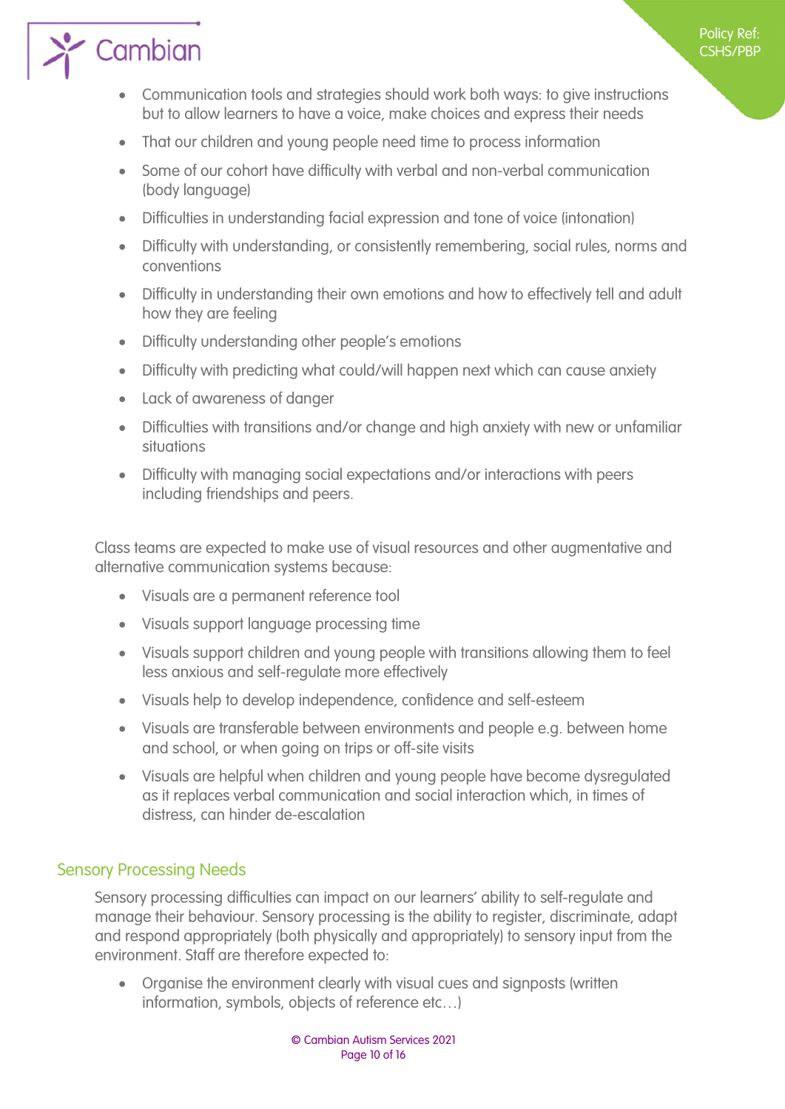# $\sum$  Cambian

- Communication tools and strategies should work both ways: to give instructions but to allow learners to have a voice, make choices and express their needs
- That our children and young people need time to process information
- Some of our cohort have difficulty with verbal and non-verbal communication (body language)
- Difficulties in understanding facial expression and tone of voice (intonation)
- Difficulty with understanding, or consistently remembering, social rules, norms and conventions
- Difficulty in understanding their own emotions and how to effectively tell and adult how they are feeling
- Difficulty understanding other people's emotions
- Difficulty with predicting what could/will happen next which can cause anxiety
- Lack of awareness of danger
- Difficulties with transitions and/or change and high anxiety with new or unfamiliar situations
- Difficulty with managing social expectations and/or interactions with peers including friendships and peers.

Class teams are expected to make use of visual resources and other augmentative and alternative communication systems because:

- Visuals are a permanent reference tool
- Visuals support language processing time
- Visuals support children and young people with transitions allowing them to feel less anxious and self-regulate more effectively
- Visuals help to develop independence, confidence and self-esteem
- Visuals are transferable between environments and people e.g. between home and school, or when going on trips or off-site visits
- Visuals are helpful when children and young people have become dysregulated as it replaces verbal communication and social interaction which, in times of distress, can hinder de-escalation

#### Sensory Processing Needs

<span id="page-9-0"></span>Sensory processing difficulties can impact on our learners' ability to self-regulate and manage their behaviour. Sensory processing is the ability to register, discriminate, adapt and respond appropriately (both physically and appropriately) to sensory input from the environment. Staff are therefore expected to:

 Organise the environment clearly with visual cues and signposts (written information, symbols, objects of reference etc…)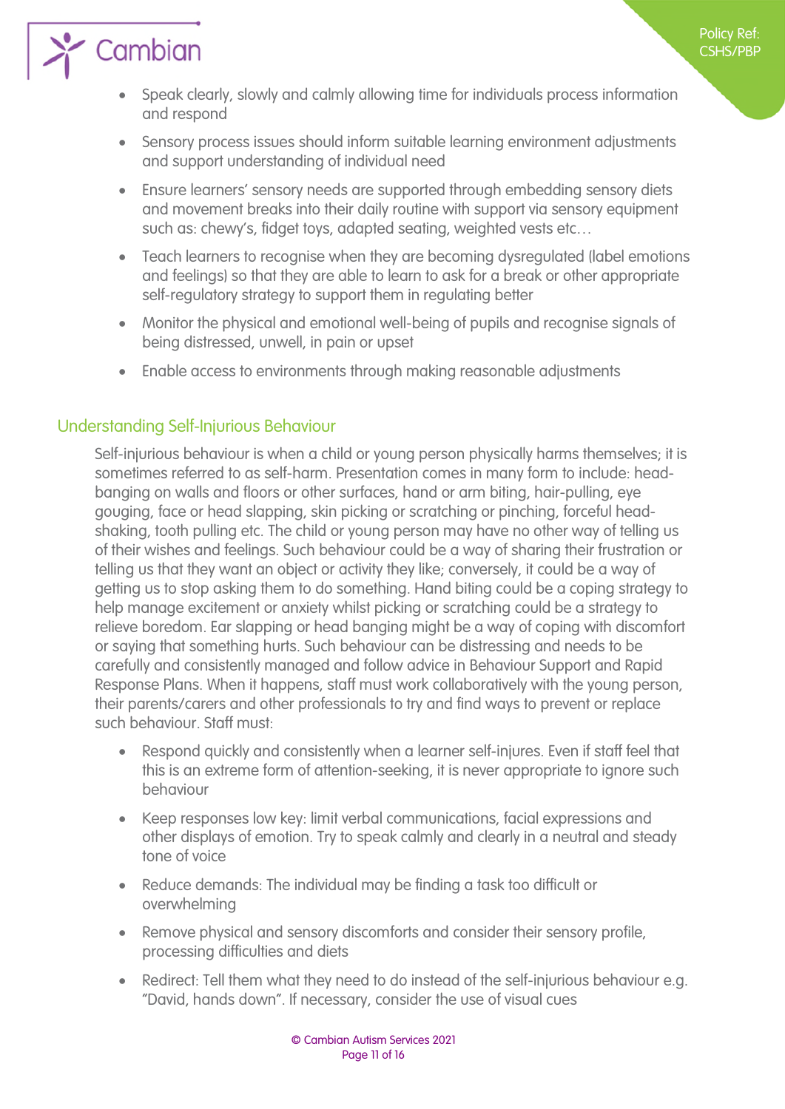# $\sum$  Cambian

- Speak clearly, slowly and calmly allowing time for individuals process information and respond
- Sensory process issues should inform suitable learning environment adjustments and support understanding of individual need
- Ensure learners' sensory needs are supported through embedding sensory diets and movement breaks into their daily routine with support via sensory equipment such as: chewy's, fidget toys, adapted seating, weighted vests etc…
- Teach learners to recognise when they are becoming dysregulated (label emotions and feelings) so that they are able to learn to ask for a break or other appropriate self-regulatory strategy to support them in regulating better
- Monitor the physical and emotional well-being of pupils and recognise signals of being distressed, unwell, in pain or upset
- Enable access to environments through making reasonable adjustments

#### Understanding Self-Injurious Behaviour

<span id="page-10-0"></span>Self-injurious behaviour is when a child or young person physically harms themselves; it is sometimes referred to as self-harm. Presentation comes in many form to include: headbanging on walls and floors or other surfaces, hand or arm biting, hair-pulling, eye gouging, face or head slapping, skin picking or scratching or pinching, forceful headshaking, tooth pulling etc. The child or young person may have no other way of telling us of their wishes and feelings. Such behaviour could be a way of sharing their frustration or telling us that they want an object or activity they like; conversely, it could be a way of getting us to stop asking them to do something. Hand biting could be a coping strategy to help manage excitement or anxiety whilst picking or scratching could be a strategy to relieve boredom. Ear slapping or head banging might be a way of coping with discomfort or saying that something hurts. Such behaviour can be distressing and needs to be carefully and consistently managed and follow advice in Behaviour Support and Rapid Response Plans. When it happens, staff must work collaboratively with the young person, their parents/carers and other professionals to try and find ways to prevent or replace such behaviour. Staff must:

- Respond quickly and consistently when a learner self-injures. Even if staff feel that this is an extreme form of attention-seeking, it is never appropriate to ignore such behaviour
- Keep responses low key: limit verbal communications, facial expressions and other displays of emotion. Try to speak calmly and clearly in a neutral and steady tone of voice
- Reduce demands: The individual may be finding a task too difficult or overwhelming
- Remove physical and sensory discomforts and consider their sensory profile, processing difficulties and diets
- Redirect: Tell them what they need to do instead of the self-injurious behaviour e.g. "David, hands down". If necessary, consider the use of visual cues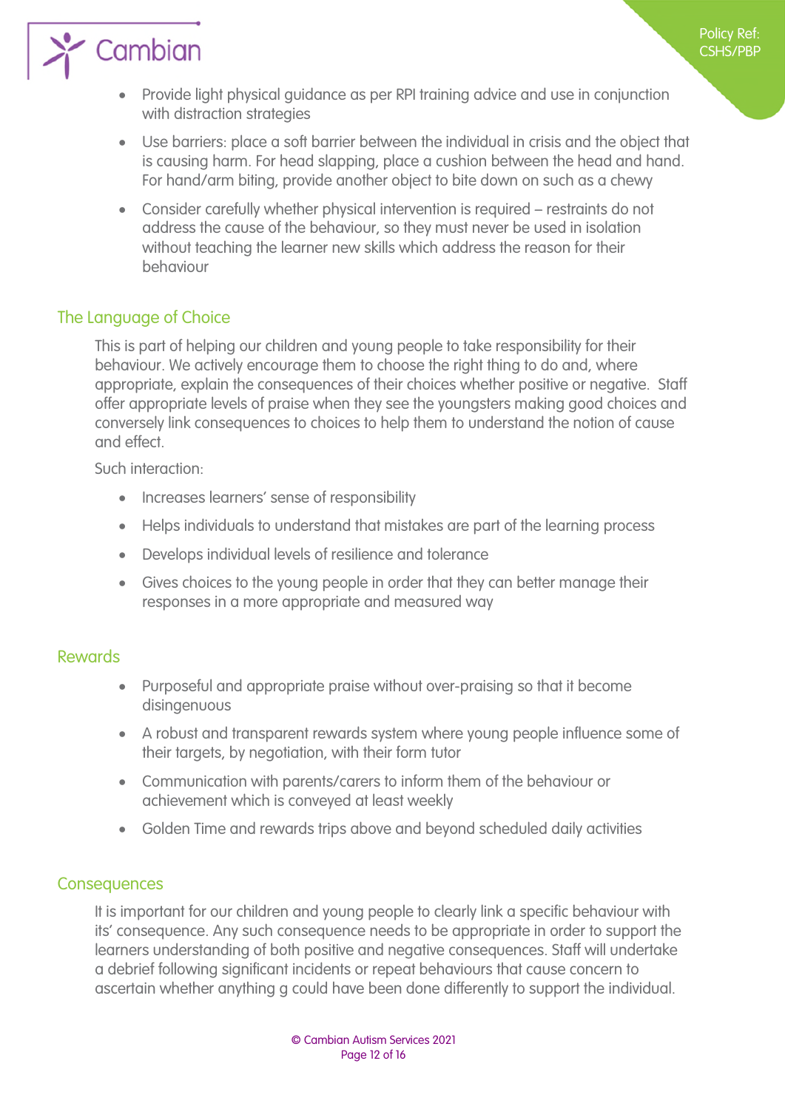

- Provide light physical guidance as per RPI training advice and use in conjunction with distraction strategies
- Use barriers: place a soft barrier between the individual in crisis and the object that is causing harm. For head slapping, place a cushion between the head and hand. For hand/arm biting, provide another object to bite down on such as a chewy
- Consider carefully whether physical intervention is required restraints do not address the cause of the behaviour, so they must never be used in isolation without teaching the learner new skills which address the reason for their behaviour

#### The Language of Choice

<span id="page-11-0"></span>This is part of helping our children and young people to take responsibility for their behaviour. We actively encourage them to choose the right thing to do and, where appropriate, explain the consequences of their choices whether positive or negative. Staff offer appropriate levels of praise when they see the youngsters making good choices and conversely link consequences to choices to help them to understand the notion of cause and effect.

Such interaction:

- Increases learners' sense of responsibility
- Helps individuals to understand that mistakes are part of the learning process
- Develops individual levels of resilience and tolerance
- Gives choices to the young people in order that they can better manage their responses in a more appropriate and measured way

#### <span id="page-11-1"></span>Rewards

- Purposeful and appropriate praise without over-praising so that it become disingenuous
- A robust and transparent rewards system where young people influence some of their targets, by negotiation, with their form tutor
- Communication with parents/carers to inform them of the behaviour or achievement which is conveyed at least weekly
- Golden Time and rewards trips above and beyond scheduled daily activities

#### **Consequences**

<span id="page-11-2"></span>It is important for our children and young people to clearly link a specific behaviour with its' consequence. Any such consequence needs to be appropriate in order to support the learners understanding of both positive and negative consequences. Staff will undertake a debrief following significant incidents or repeat behaviours that cause concern to ascertain whether anything g could have been done differently to support the individual.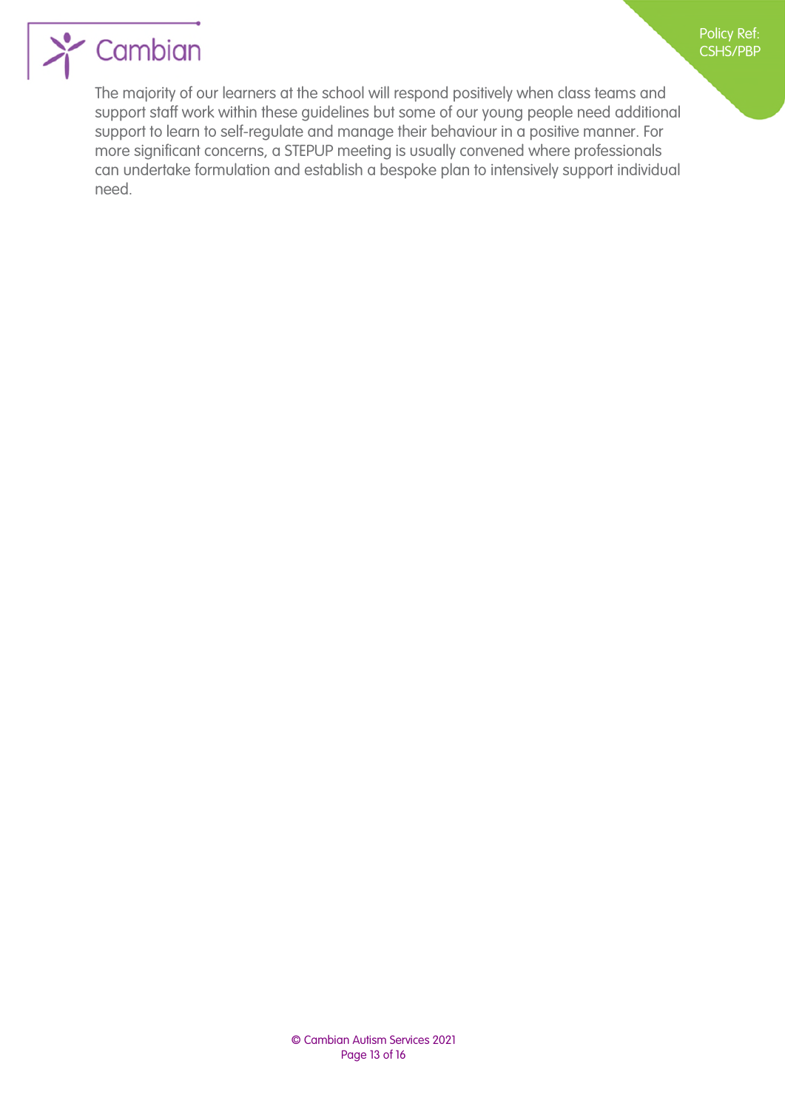

## $\sum$  Cambian

The majority of our learners at the school will respond positively when class teams and support staff work within these guidelines but some of our young people need additional support to learn to self-regulate and manage their behaviour in a positive manner. For more significant concerns, a STEPUP meeting is usually convened where professionals can undertake formulation and establish a bespoke plan to intensively support individual need.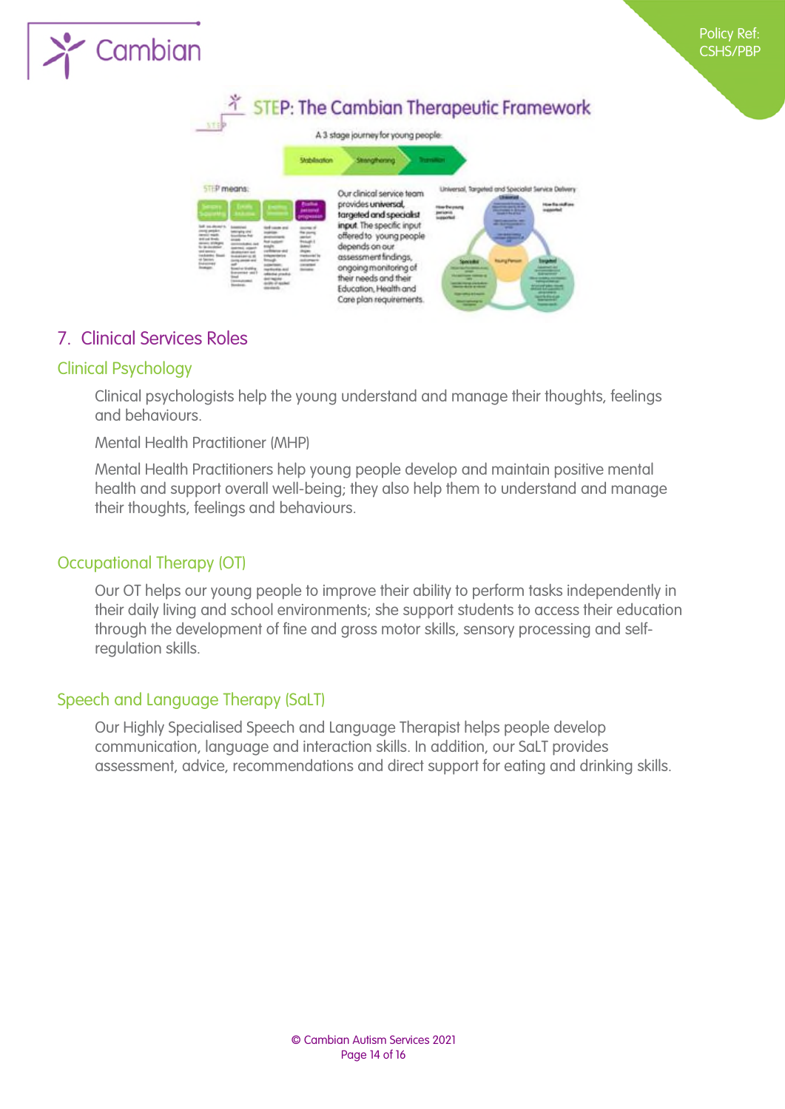



#### <span id="page-13-0"></span>7. Clinical Services Roles

#### Clinical Psychology

<span id="page-13-1"></span>Clinical psychologists help the young understand and manage their thoughts, feelings and behaviours.

Mental Health Practitioner (MHP)

Mental Health Practitioners help young people develop and maintain positive mental health and support overall well-being; they also help them to understand and manage their thoughts, feelings and behaviours.

#### Occupational Therapy (OT)

<span id="page-13-2"></span>Our OT helps our young people to improve their ability to perform tasks independently in their daily living and school environments; she support students to access their education through the development of fine and gross motor skills, sensory processing and selfregulation skills.

#### Speech and Language Therapy (SaLT)

<span id="page-13-3"></span>Our Highly Specialised Speech and Language Therapist helps people develop communication, language and interaction skills. In addition, our SaLT provides assessment, advice, recommendations and direct support for eating and drinking skills.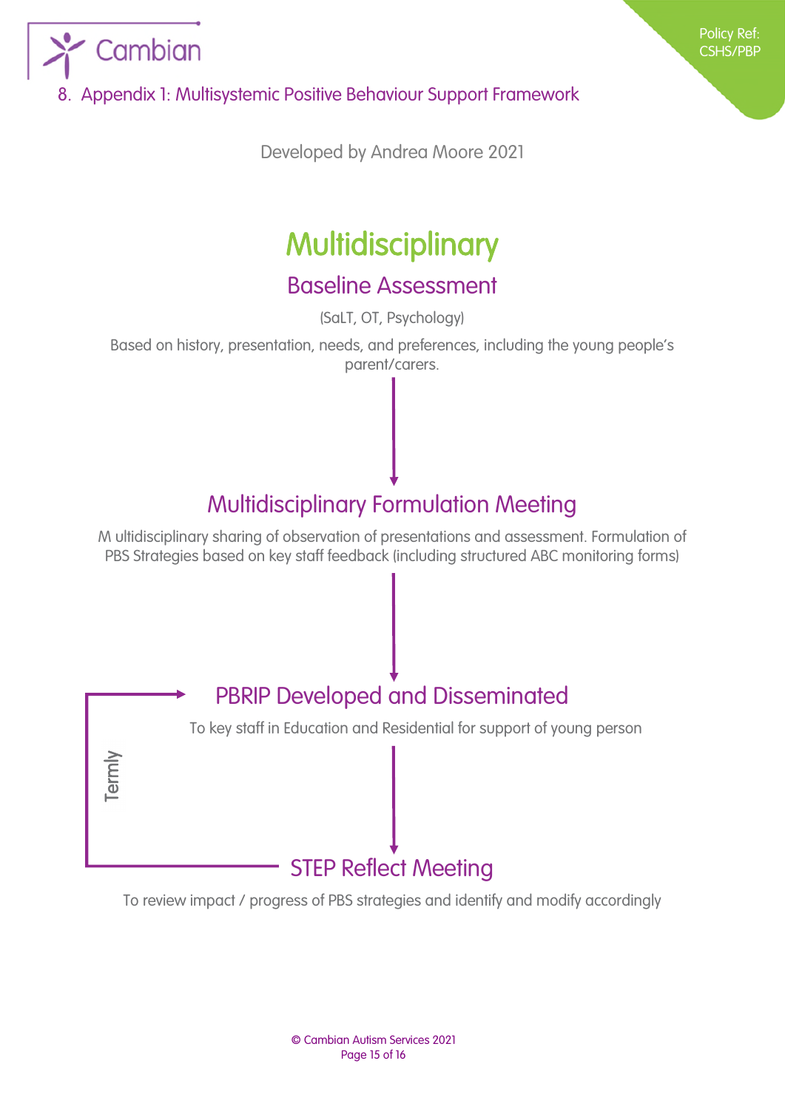

<span id="page-14-0"></span>8. Appendix 1: Multisystemic Positive Behaviour Support Framework

Developed by Andrea Moore 2021

## **Multidisciplinary**

### Baseline Assessment

(SaLT, OT, Psychology)

Based on history, presentation, needs, and preferences, including the young people's parent/carers.

### Multidisciplinary Formulation Meeting

M ultidisciplinary sharing of observation of presentations and assessment. Formulation of PBS Strategies based on key staff feedback (including structured ABC monitoring forms)



To review impact / progress of PBS strategies and identify and modify accordingly

© Cambian Autism Services 2021 Page 15 of 16

Policy Ref: CSHS/PBP